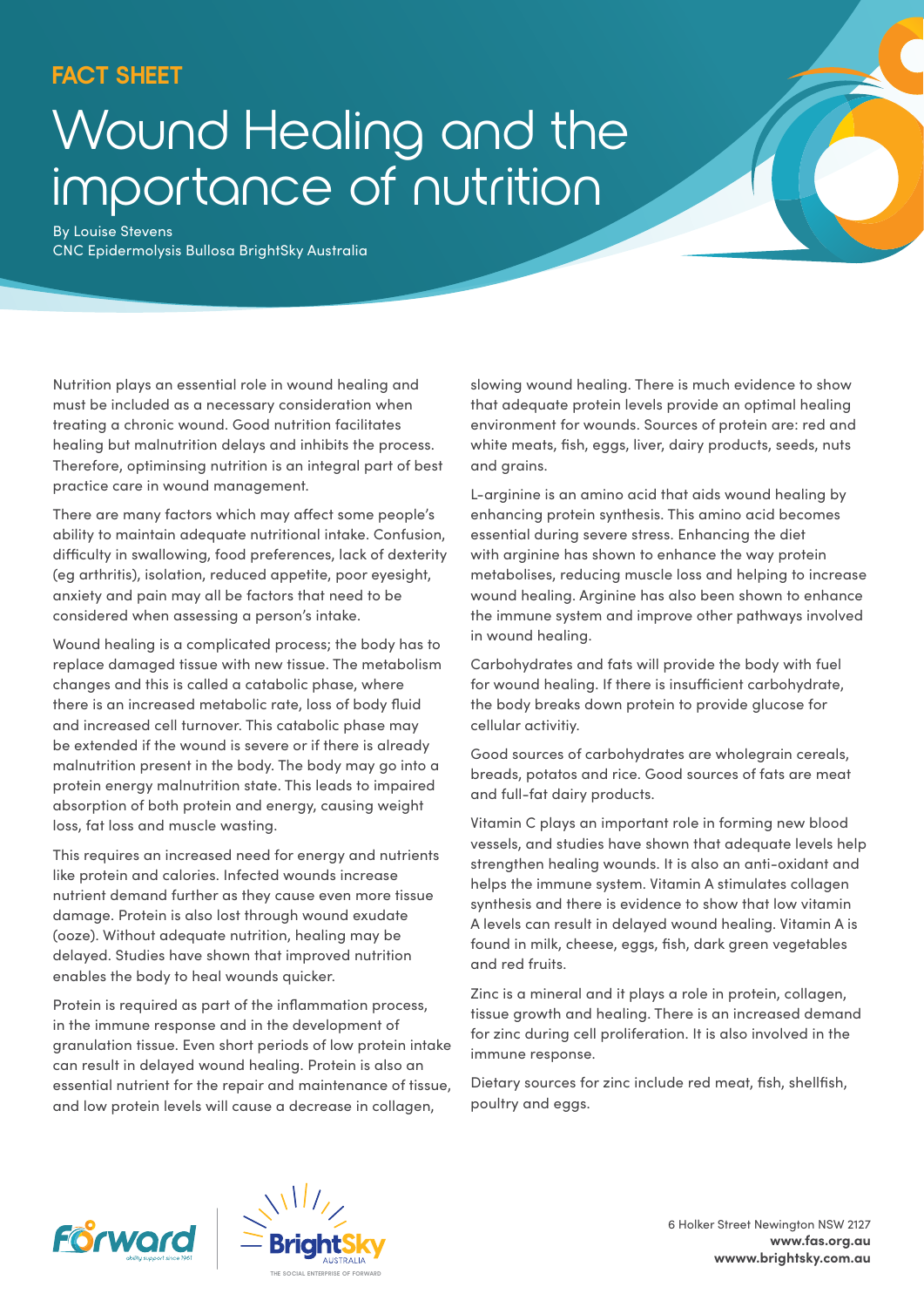## **FACT SHEET**

# Wound Healing and the importance of nutrition

By Louise Stevens CNC Epidermolysis Bullosa BrightSky Australia

Nutrition plays an essential role in wound healing and must be included as a necessary consideration when treating a chronic wound. Good nutrition facilitates healing but malnutrition delays and inhibits the process. Therefore, optiminsing nutrition is an integral part of best practice care in wound management.

There are many factors which may affect some people's ability to maintain adequate nutritional intake. Confusion, difficulty in swallowing, food preferences, lack of dexterity (eg arthritis), isolation, reduced appetite, poor eyesight, anxiety and pain may all be factors that need to be considered when assessing a person's intake.

Wound healing is a complicated process; the body has to replace damaged tissue with new tissue. The metabolism changes and this is called a catabolic phase, where there is an increased metabolic rate, loss of body fluid and increased cell turnover. This catabolic phase may be extended if the wound is severe or if there is already malnutrition present in the body. The body may go into a protein energy malnutrition state. This leads to impaired absorption of both protein and energy, causing weight loss, fat loss and muscle wasting.

This requires an increased need for energy and nutrients like protein and calories. Infected wounds increase nutrient demand further as they cause even more tissue damage. Protein is also lost through wound exudate (ooze). Without adequate nutrition, healing may be delayed. Studies have shown that improved nutrition enables the body to heal wounds quicker.

Protein is required as part of the inflammation process, in the immune response and in the development of granulation tissue. Even short periods of low protein intake can result in delayed wound healing. Protein is also an essential nutrient for the repair and maintenance of tissue, and low protein levels will cause a decrease in collagen,

slowing wound healing. There is much evidence to show that adequate protein levels provide an optimal healing environment for wounds. Sources of protein are: red and white meats, fish, eggs, liver, dairy products, seeds, nuts and grains.

L-arginine is an amino acid that aids wound healing by enhancing protein synthesis. This amino acid becomes essential during severe stress. Enhancing the diet with arginine has shown to enhance the way protein metabolises, reducing muscle loss and helping to increase wound healing. Arginine has also been shown to enhance the immune system and improve other pathways involved in wound healing.

Carbohydrates and fats will provide the body with fuel for wound healing. If there is insufficient carbohydrate, the body breaks down protein to provide glucose for cellular activitiy.

Good sources of carbohydrates are wholegrain cereals, breads, potatos and rice. Good sources of fats are meat and full-fat dairy products.

Vitamin C plays an important role in forming new blood vessels, and studies have shown that adequate levels help strengthen healing wounds. It is also an anti-oxidant and helps the immune system. Vitamin A stimulates collagen synthesis and there is evidence to show that low vitamin A levels can result in delayed wound healing. Vitamin A is found in milk, cheese, eggs, fish, dark green vegetables and red fruits.

Zinc is a mineral and it plays a role in protein, collagen, tissue growth and healing. There is an increased demand for zinc during cell proliferation. It is also involved in the immune response.

Dietary sources for zinc include red meat, fish, shellfish, poultry and eggs.